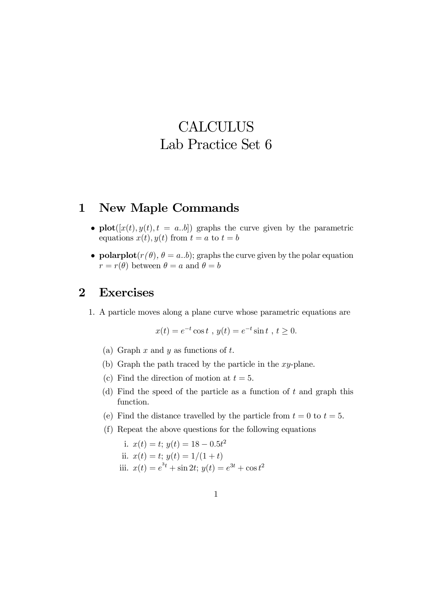# **CALCULUS** Lab Practice Set 6

### 1 New Maple Commands

- plot( $[x(t), y(t), t = a,b]$ ) graphs the curve given by the parametric equations  $x(t)$ ,  $y(t)$  from  $t = a$  to  $t = b$
- polarplot $(r(\theta), \theta = a,b)$ ; graphs the curve given by the polar equation  $r = r(\theta)$  between  $\theta = a$  and  $\theta = b$

## 2 Exercises

1. A particle moves along a plane curve whose parametric equations are

$$
x(t) = e^{-t} \cos t
$$
,  $y(t) = e^{-t} \sin t$ ,  $t \ge 0$ .

- (a) Graph  $x$  and  $y$  as functions of  $t$ .
- (b) Graph the path traced by the particle in the xy-plane.
- (c) Find the direction of motion at  $t = 5$ .
- (d) Find the speed of the particle as a function of  $t$  and graph this function.
- (e) Find the distance travelled by the particle from  $t = 0$  to  $t = 5$ .
- (f) Repeat the above questions for the following equations

i. 
$$
x(t) = t
$$
;  $y(t) = 18 - 0.5t^2$   
\nii.  $x(t) = t$ ;  $y(t) = 1/(1 + t)$   
\niii.  $x(t) = e^{3t} + \sin 2t$ ;  $y(t) = e^{3t} + \cos t^2$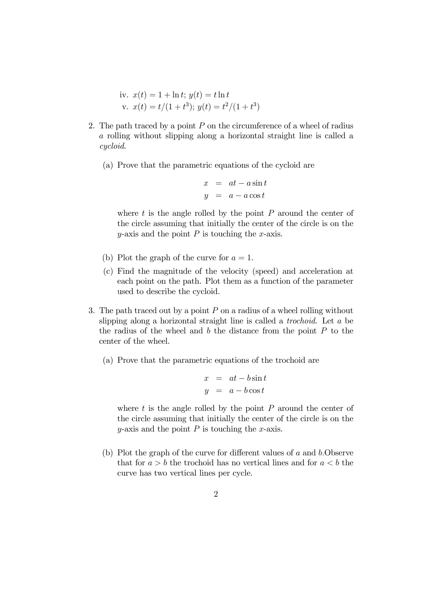iv. 
$$
x(t) = 1 + \ln t
$$
;  $y(t) = t \ln t$   
v.  $x(t) = t/(1 + t^3)$ ;  $y(t) = t^2/(1 + t^3)$ 

- 2. The path traced by a point  $P$  on the circumference of a wheel of radius a rolling without slipping along a horizontal straight line is called a cycloid.
	- (a) Prove that the parametric equations of the cycloid are

$$
x = at - a \sin t
$$
  

$$
y = a - a \cos t
$$

where  $t$  is the angle rolled by the point  $P$  around the center of the circle assuming that initially the center of the circle is on the y-axis and the point  $P$  is touching the x-axis.

- (b) Plot the graph of the curve for  $a = 1$ .
- (c) Find the magnitude of the velocity (speed) and acceleration at each point on the path. Plot them as a function of the parameter used to describe the cycloid.
- 3. The path traced out by a point  $P$  on a radius of a wheel rolling without slipping along a horizontal straight line is called a trochoid. Let a be the radius of the wheel and  $b$  the distance from the point  $P$  to the center of the wheel.
	- (a) Prove that the parametric equations of the trochoid are

$$
x = at - b \sin t
$$
  

$$
y = a - b \cos t
$$

where  $t$  is the angle rolled by the point  $P$  around the center of the circle assuming that initially the center of the circle is on the y-axis and the point  $P$  is touching the x-axis.

(b) Plot the graph of the curve for different values of  $a$  and  $b$ . Observe that for  $a > b$  the trochoid has no vertical lines and for  $a < b$  the curve has two vertical lines per cycle.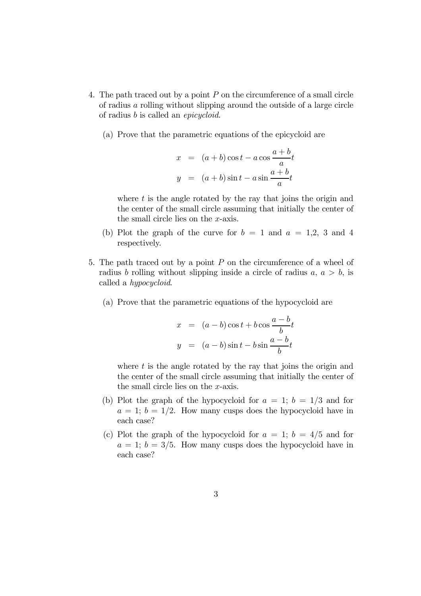- 4. The path traced out by a point P on the circumference of a small circle of radius a rolling without slipping around the outside of a large circle of radius b is called an epicycloid.
	- (a) Prove that the parametric equations of the epicycloid are

$$
x = (a+b)\cos t - a\cos\frac{a+b}{a}t
$$
  

$$
y = (a+b)\sin t - a\sin\frac{a+b}{a}t
$$

where  $t$  is the angle rotated by the ray that joins the origin and the center of the small circle assuming that initially the center of the small circle lies on the x-axis.

- (b) Plot the graph of the curve for  $b = 1$  and  $a = 1,2, 3$  and 4 respectively.
- 5. The path traced out by a point  $P$  on the circumference of a wheel of radius b rolling without slipping inside a circle of radius  $a, a > b$ , is called a hypocycloid.
	- (a) Prove that the parametric equations of the hypocycloid are

$$
x = (a - b)\cos t + b\cos\frac{a - b}{b}t
$$
  

$$
y = (a - b)\sin t - b\sin\frac{a - b}{b}t
$$

where  $t$  is the angle rotated by the ray that joins the origin and the center of the small circle assuming that initially the center of the small circle lies on the x-axis.

- (b) Plot the graph of the hypocycloid for  $a = 1$ ;  $b = 1/3$  and for  $a = 1$ ;  $b = 1/2$ . How many cusps does the hypocycloid have in each case?
- (c) Plot the graph of the hypocycloid for  $a = 1$ ;  $b = 4/5$  and for  $a = 1$ ;  $b = 3/5$ . How many cusps does the hypocycloid have in each case?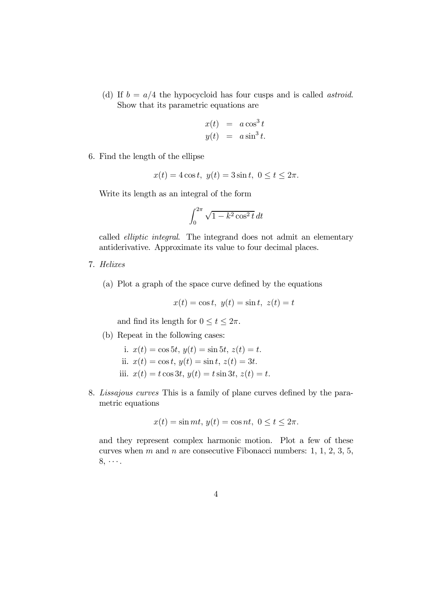(d) If  $b = a/4$  the hypocycloid has four cusps and is called *astroid*. Show that its parametric equations are

$$
x(t) = a \cos^3 t
$$
  

$$
y(t) = a \sin^3 t.
$$

6. Find the length of the ellipse

$$
x(t) = 4\cos t, \ y(t) = 3\sin t, \ 0 \le t \le 2\pi.
$$

Write its length as an integral of the form

$$
\int_0^{2\pi} \sqrt{1 - k^2 \cos^2 t} \, dt
$$

called elliptic integral. The integrand does not admit an elementary antiderivative. Approximate its value to four decimal places.

- 7. Helixes
	- (a) Plot a graph of the space curve defined by the equations

$$
x(t) = \cos t, \ y(t) = \sin t, \ z(t) = t
$$

and find its length for  $0 \le t \le 2\pi$ .

- (b) Repeat in the following cases:
	- i.  $x(t) = \cos 5t, y(t) = \sin 5t, z(t) = t.$ ii.  $x(t) = \cos t, y(t) = \sin t, z(t) = 3t.$ iii.  $x(t) = t \cos 3t, y(t) = t \sin 3t, z(t) = t.$
- 8. Lissajous curves This is a family of plane curves defined by the parametric equations

$$
x(t) = \sin mt, y(t) = \cos nt, 0 \le t \le 2\pi.
$$

and they represent complex harmonic motion. Plot a few of these curves when m and n are consecutive Fibonacci numbers:  $1, 1, 2, 3, 5$ ,  $8, \cdots$ .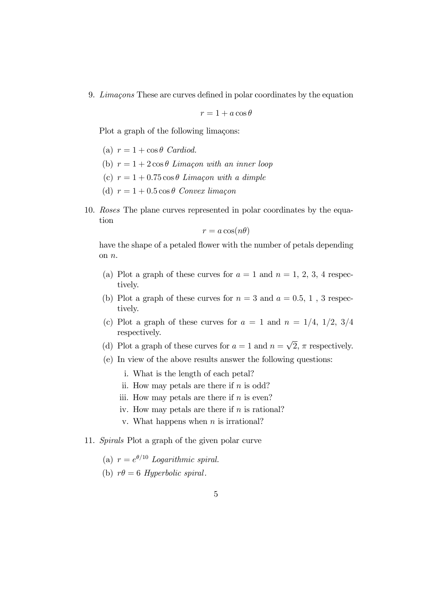9. Limaçons These are curves defined in polar coordinates by the equation

$$
r = 1 + a\cos\theta
$$

Plot a graph of the following limaçons:

- (a)  $r = 1 + \cos \theta$  Cardiod.
- (b)  $r = 1 + 2\cos\theta$  Limaçon with an inner loop
- (c)  $r = 1 + 0.75 \cos \theta$  Limacon with a dimple
- (d)  $r = 1 + 0.5 \cos \theta$  Convex limaçon
- 10. Roses The plane curves represented in polar coordinates by the equation

 $r = a \cos(n\theta)$ 

have the shape of a petaled flower with the number of petals depending on n.

- (a) Plot a graph of these curves for  $a = 1$  and  $n = 1, 2, 3, 4$  respectively.
- (b) Plot a graph of these curves for  $n = 3$  and  $a = 0.5, 1$ , 3 respectively.
- (c) Plot a graph of these curves for  $a = 1$  and  $n = 1/4$ ,  $1/2$ ,  $3/4$ respectively.
- (d) Plot a graph of these curves for  $a = 1$  and  $n = \sqrt{2}$ ,  $\pi$  respectively.
- (e) In view of the above results answer the following questions:
	- i. What is the length of each petal?
	- ii. How may petals are there if  $n$  is odd?
	- iii. How may petals are there if  $n$  is even?
	- iv. How may petals are there if  $n$  is rational?
	- v. What happens when  $n$  is irrational?

#### 11. Spirals Plot a graph of the given polar curve

- (a)  $r = e^{\theta/10}$  Logarithmic spiral.
- (b)  $r\theta = 6$  Hyperbolic spiral.